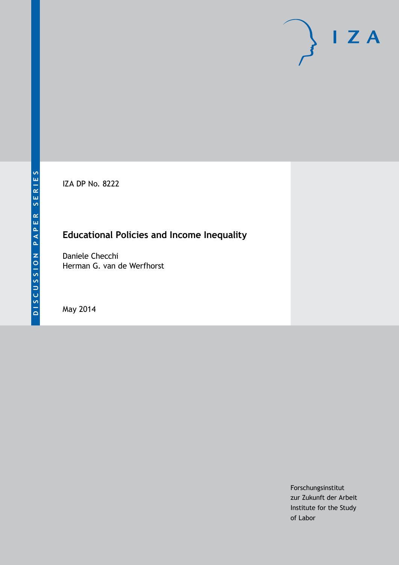IZA DP No. 8222

# **Educational Policies and Income Inequality**

Daniele Checchi Herman G. van de Werfhorst

May 2014

Forschungsinstitut zur Zukunft der Arbeit Institute for the Study of Labor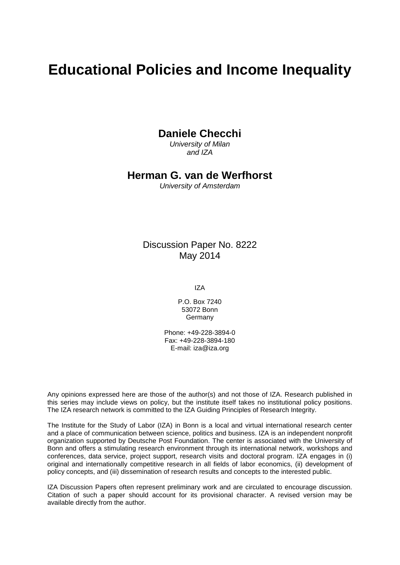# **Educational Policies and Income Inequality**

## **Daniele Checchi**

*University of Milan and IZA*

### **Herman G. van de Werfhorst**

*University of Amsterdam*

### Discussion Paper No. 8222 May 2014

IZA

P.O. Box 7240 53072 Bonn **Germany** 

Phone: +49-228-3894-0 Fax: +49-228-3894-180 E-mail: [iza@iza.org](mailto:iza@iza.org)

Any opinions expressed here are those of the author(s) and not those of IZA. Research published in this series may include views on policy, but the institute itself takes no institutional policy positions. The IZA research network is committed to the IZA Guiding Principles of Research Integrity.

The Institute for the Study of Labor (IZA) in Bonn is a local and virtual international research center and a place of communication between science, politics and business. IZA is an independent nonprofit organization supported by Deutsche Post Foundation. The center is associated with the University of Bonn and offers a stimulating research environment through its international network, workshops and conferences, data service, project support, research visits and doctoral program. IZA engages in (i) original and internationally competitive research in all fields of labor economics, (ii) development of policy concepts, and (iii) dissemination of research results and concepts to the interested public.

IZA Discussion Papers often represent preliminary work and are circulated to encourage discussion. Citation of such a paper should account for its provisional character. A revised version may be available directly from the author.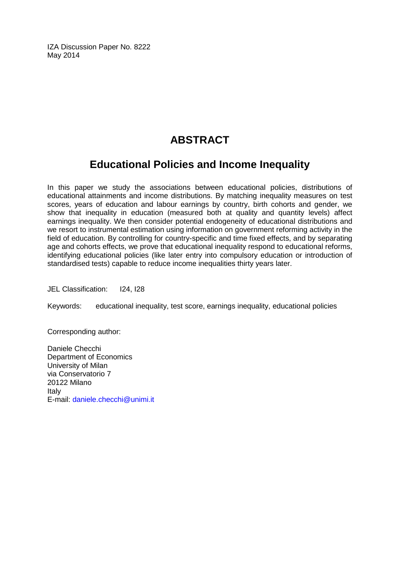IZA Discussion Paper No. 8222 May 2014

# **ABSTRACT**

# **Educational Policies and Income Inequality**

In this paper we study the associations between educational policies, distributions of educational attainments and income distributions. By matching inequality measures on test scores, years of education and labour earnings by country, birth cohorts and gender, we show that inequality in education (measured both at quality and quantity levels) affect earnings inequality. We then consider potential endogeneity of educational distributions and we resort to instrumental estimation using information on government reforming activity in the field of education. By controlling for country-specific and time fixed effects, and by separating age and cohorts effects, we prove that educational inequality respond to educational reforms, identifying educational policies (like later entry into compulsory education or introduction of standardised tests) capable to reduce income inequalities thirty years later.

JEL Classification: I24, I28

Keywords: educational inequality, test score, earnings inequality, educational policies

Corresponding author:

Daniele Checchi Department of Economics University of Milan via Conservatorio 7 20122 Milano Italy E-mail: [daniele.checchi@unimi.it](mailto:daniele.checchi@unimi.it)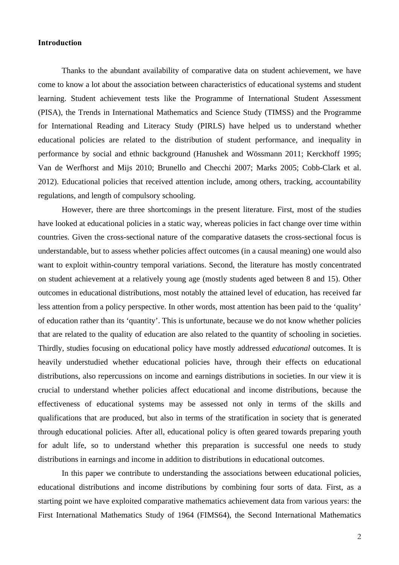#### **Introduction**

Thanks to the abundant availability of comparative data on student achievement, we have come to know a lot about the association between characteristics of educational systems and student learning. Student achievement tests like the Programme of International Student Assessment (PISA), the Trends in International Mathematics and Science Study (TIMSS) and the Programme for International Reading and Literacy Study (PIRLS) have helped us to understand whether educational policies are related to the distribution of student performance, and inequality in performance by social and ethnic background (Hanushek and Wössmann 2011; Kerckhoff 1995; Van de Werfhorst and Mijs 2010; Brunello and Checchi 2007; Marks 2005; Cobb-Clark et al. 2012). Educational policies that received attention include, among others, tracking, accountability regulations, and length of compulsory schooling.

 However, there are three shortcomings in the present literature. First, most of the studies have looked at educational policies in a static way, whereas policies in fact change over time within countries. Given the cross-sectional nature of the comparative datasets the cross-sectional focus is understandable, but to assess whether policies affect outcomes (in a causal meaning) one would also want to exploit within-country temporal variations. Second, the literature has mostly concentrated on student achievement at a relatively young age (mostly students aged between 8 and 15). Other outcomes in educational distributions, most notably the attained level of education, has received far less attention from a policy perspective. In other words, most attention has been paid to the 'quality' of education rather than its 'quantity'. This is unfortunate, because we do not know whether policies that are related to the quality of education are also related to the quantity of schooling in societies. Thirdly, studies focusing on educational policy have mostly addressed *educational* outcomes. It is heavily understudied whether educational policies have, through their effects on educational distributions, also repercussions on income and earnings distributions in societies. In our view it is crucial to understand whether policies affect educational and income distributions, because the effectiveness of educational systems may be assessed not only in terms of the skills and qualifications that are produced, but also in terms of the stratification in society that is generated through educational policies. After all, educational policy is often geared towards preparing youth for adult life, so to understand whether this preparation is successful one needs to study distributions in earnings and income in addition to distributions in educational outcomes.

 In this paper we contribute to understanding the associations between educational policies, educational distributions and income distributions by combining four sorts of data. First, as a starting point we have exploited comparative mathematics achievement data from various years: the First International Mathematics Study of 1964 (FIMS64), the Second International Mathematics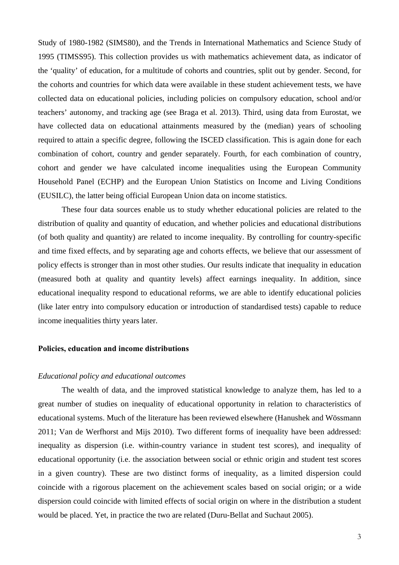Study of 1980-1982 (SIMS80), and the Trends in International Mathematics and Science Study of 1995 (TIMSS95). This collection provides us with mathematics achievement data, as indicator of the 'quality' of education, for a multitude of cohorts and countries, split out by gender. Second, for the cohorts and countries for which data were available in these student achievement tests, we have collected data on educational policies, including policies on compulsory education, school and/or teachers' autonomy, and tracking age (see Braga et al. 2013). Third, using data from Eurostat, we have collected data on educational attainments measured by the (median) years of schooling required to attain a specific degree, following the ISCED classification. This is again done for each combination of cohort, country and gender separately. Fourth, for each combination of country, cohort and gender we have calculated income inequalities using the European Community Household Panel (ECHP) and the European Union Statistics on Income and Living Conditions (EUSILC), the latter being official European Union data on income statistics.

These four data sources enable us to study whether educational policies are related to the distribution of quality and quantity of education, and whether policies and educational distributions (of both quality and quantity) are related to income inequality. By controlling for country-specific and time fixed effects, and by separating age and cohorts effects, we believe that our assessment of policy effects is stronger than in most other studies. Our results indicate that inequality in education (measured both at quality and quantity levels) affect earnings inequality. In addition, since educational inequality respond to educational reforms, we are able to identify educational policies (like later entry into compulsory education or introduction of standardised tests) capable to reduce income inequalities thirty years later.

#### **Policies, education and income distributions**

#### *Educational policy and educational outcomes*

The wealth of data, and the improved statistical knowledge to analyze them, has led to a great number of studies on inequality of educational opportunity in relation to characteristics of educational systems. Much of the literature has been reviewed elsewhere (Hanushek and Wössmann 2011; Van de Werfhorst and Mijs 2010). Two different forms of inequality have been addressed: inequality as dispersion (i.e. within-country variance in student test scores), and inequality of educational opportunity (i.e. the association between social or ethnic origin and student test scores in a given country). These are two distinct forms of inequality, as a limited dispersion could coincide with a rigorous placement on the achievement scales based on social origin; or a wide dispersion could coincide with limited effects of social origin on where in the distribution a student would be placed. Yet, in practice the two are related (Duru-Bellat and Suchaut 2005).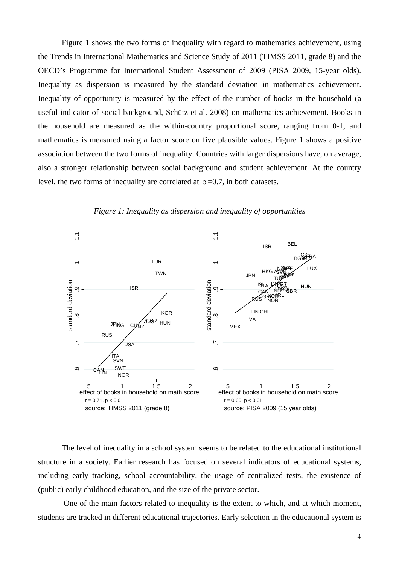Figure 1 shows the two forms of inequality with regard to mathematics achievement, using the Trends in International Mathematics and Science Study of 2011 (TIMSS 2011, grade 8) and the OECD's Programme for International Student Assessment of 2009 (PISA 2009, 15-year olds). Inequality as dispersion is measured by the standard deviation in mathematics achievement. Inequality of opportunity is measured by the effect of the number of books in the household (a useful indicator of social background, Schütz et al. 2008) on mathematics achievement. Books in the household are measured as the within-country proportional score, ranging from 0-1, and mathematics is measured using a factor score on five plausible values. Figure 1 shows a positive association between the two forms of inequality. Countries with larger dispersions have, on average, also a stronger relationship between social background and student achievement. At the country level, the two forms of inequality are correlated at  $\rho = 0.7$ , in both datasets.



*Figure 1: Inequality as dispersion and inequality of opportunities* 

The level of inequality in a school system seems to be related to the educational institutional structure in a society. Earlier research has focused on several indicators of educational systems, including early tracking, school accountability, the usage of centralized tests, the existence of (public) early childhood education, and the size of the private sector.

 One of the main factors related to inequality is the extent to which, and at which moment, students are tracked in different educational trajectories. Early selection in the educational system is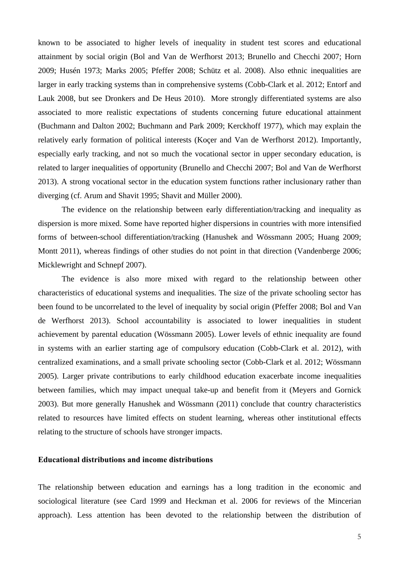known to be associated to higher levels of inequality in student test scores and educational attainment by social origin (Bol and Van de Werfhorst 2013; Brunello and Checchi 2007; Horn 2009; Husén 1973; Marks 2005; Pfeffer 2008; Schütz et al. 2008). Also ethnic inequalities are larger in early tracking systems than in comprehensive systems (Cobb-Clark et al. 2012; Entorf and Lauk 2008, but see Dronkers and De Heus 2010). More strongly differentiated systems are also associated to more realistic expectations of students concerning future educational attainment (Buchmann and Dalton 2002; Buchmann and Park 2009; Kerckhoff 1977), which may explain the relatively early formation of political interests (Koçer and Van de Werfhorst 2012). Importantly, especially early tracking, and not so much the vocational sector in upper secondary education, is related to larger inequalities of opportunity (Brunello and Checchi 2007; Bol and Van de Werfhorst 2013). A strong vocational sector in the education system functions rather inclusionary rather than diverging (cf. Arum and Shavit 1995; Shavit and Müller 2000).

The evidence on the relationship between early differentiation/tracking and inequality as dispersion is more mixed. Some have reported higher dispersions in countries with more intensified forms of between-school differentiation/tracking (Hanushek and Wössmann 2005; Huang 2009; Montt 2011), whereas findings of other studies do not point in that direction (Vandenberge 2006; Micklewright and Schnepf 2007).

The evidence is also more mixed with regard to the relationship between other characteristics of educational systems and inequalities. The size of the private schooling sector has been found to be uncorrelated to the level of inequality by social origin (Pfeffer 2008; Bol and Van de Werfhorst 2013). School accountability is associated to lower inequalities in student achievement by parental education (Wössmann 2005). Lower levels of ethnic inequality are found in systems with an earlier starting age of compulsory education (Cobb-Clark et al. 2012), with centralized examinations, and a small private schooling sector (Cobb-Clark et al. 2012; Wössmann 2005). Larger private contributions to early childhood education exacerbate income inequalities between families, which may impact unequal take-up and benefit from it (Meyers and Gornick 2003). But more generally Hanushek and Wössmann (2011) conclude that country characteristics related to resources have limited effects on student learning, whereas other institutional effects relating to the structure of schools have stronger impacts.

#### **Educational distributions and income distributions**

The relationship between education and earnings has a long tradition in the economic and sociological literature (see Card 1999 and Heckman et al. 2006 for reviews of the Mincerian approach). Less attention has been devoted to the relationship between the distribution of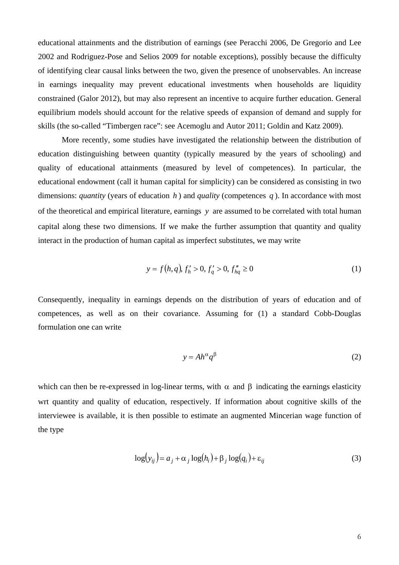educational attainments and the distribution of earnings (see Peracchi 2006, De Gregorio and Lee 2002 and Rodriguez-Pose and Selios 2009 for notable exceptions), possibly because the difficulty of identifying clear causal links between the two, given the presence of unobservables. An increase in earnings inequality may prevent educational investments when households are liquidity constrained (Galor 2012), but may also represent an incentive to acquire further education. General equilibrium models should account for the relative speeds of expansion of demand and supply for skills (the so-called "Timbergen race": see Acemoglu and Autor 2011; Goldin and Katz 2009).

More recently, some studies have investigated the relationship between the distribution of education distinguishing between quantity (typically measured by the years of schooling) and quality of educational attainments (measured by level of competences). In particular, the educational endowment (call it human capital for simplicity) can be considered as consisting in two dimensions: *quantity* (years of education *h* ) and *quality* (competences *q* ). In accordance with most of the theoretical and empirical literature, earnings *y* are assumed to be correlated with total human capital along these two dimensions. If we make the further assumption that quantity and quality interact in the production of human capital as imperfect substitutes, we may write

$$
y = f(h, q), f'_h > 0, f'_q > 0, f''_{hq} \ge 0
$$
 (1)

Consequently, inequality in earnings depends on the distribution of years of education and of competences, as well as on their covariance. Assuming for (1) a standard Cobb-Douglas formulation one can write

$$
y = Ah^{\alpha} q^{\beta} \tag{2}
$$

which can then be re-expressed in log-linear terms, with  $\alpha$  and  $\beta$  indicating the earnings elasticity wrt quantity and quality of education, respectively. If information about cognitive skills of the interviewee is available, it is then possible to estimate an augmented Mincerian wage function of the type

$$
\log(y_{ij}) = a_j + \alpha_j \log(h_i) + \beta_j \log(q_i) + \varepsilon_{ij}
$$
\n(3)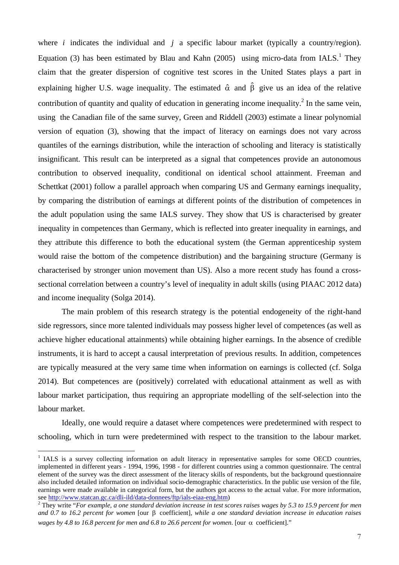where *i* indicates the individual and *j* a specific labour market (typically a country/region). Equation (3) has been estimated by Blau and Kahn (2005) using micro-data from  $IALS<sup>1</sup>$ . They claim that the greater dispersion of cognitive test scores in the United States plays a part in explaining higher U.S. wage inequality. The estimated  $\hat{\alpha}$  and  $\hat{\beta}$  give us an idea of the relative contribution of quantity and quality of education in generating income inequality.<sup>2</sup> In the same vein, using the Canadian file of the same survey, Green and Riddell (2003) estimate a linear polynomial version of equation (3), showing that the impact of literacy on earnings does not vary across quantiles of the earnings distribution, while the interaction of schooling and literacy is statistically insignificant. This result can be interpreted as a signal that competences provide an autonomous contribution to observed inequality, conditional on identical school attainment. Freeman and Schettkat (2001) follow a parallel approach when comparing US and Germany earnings inequality, by comparing the distribution of earnings at different points of the distribution of competences in the adult population using the same IALS survey. They show that US is characterised by greater inequality in competences than Germany, which is reflected into greater inequality in earnings, and they attribute this difference to both the educational system (the German apprenticeship system would raise the bottom of the competence distribution) and the bargaining structure (Germany is characterised by stronger union movement than US). Also a more recent study has found a crosssectional correlation between a country's level of inequality in adult skills (using PIAAC 2012 data) and income inequality (Solga 2014).

The main problem of this research strategy is the potential endogeneity of the right-hand side regressors, since more talented individuals may possess higher level of competences (as well as achieve higher educational attainments) while obtaining higher earnings. In the absence of credible instruments, it is hard to accept a causal interpretation of previous results. In addition, competences are typically measured at the very same time when information on earnings is collected (cf. Solga 2014). But competences are (positively) correlated with educational attainment as well as with labour market participation, thus requiring an appropriate modelling of the self-selection into the labour market.

Ideally, one would require a dataset where competences were predetermined with respect to schooling, which in turn were predetermined with respect to the transition to the labour market.

<sup>&</sup>lt;sup>1</sup> IALS is a survey collecting information on adult literacy in representative samples for some OECD countries, implemented in different years - 1994, 1996, 1998 - for different countries using a common questionnaire. The central element of the survey was the direct assessment of the literacy skills of respondents, but the background questionnaire also included detailed information on individual socio-demographic characteristics. In the public use version of the file, earnings were made available in categorical form, but the authors got access to the actual value. For more information, see http://www.statcan.gc.ca/dli-ild/data-donnees/ftp/ials-eiaa-eng.htm) 2

They write "*For example, a one standard deviation increase in test scores raises wages by 5.3 to 15.9 percent for men and 0.7 to 16.2 percent for women* [our β coefficient]*, while a one standard deviation increase in education raises wages by 4.8 to 16.8 percent for men and 6.8 to 26.6 percent for women.* [our  $\alpha$  coefficient]."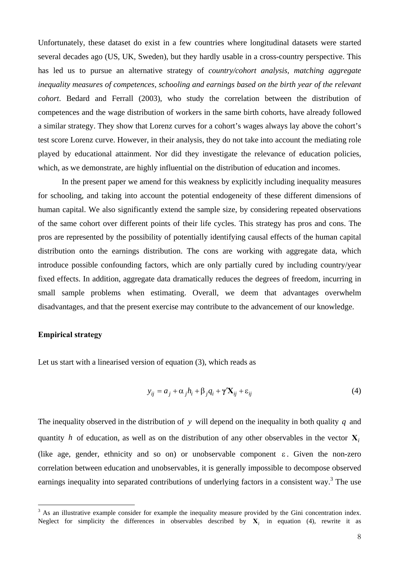Unfortunately, these dataset do exist in a few countries where longitudinal datasets were started several decades ago (US, UK, Sweden), but they hardly usable in a cross-country perspective. This has led us to pursue an alternative strategy of *country/cohort analysis, matching aggregate inequality measures of competences, schooling and earnings based on the birth year of the relevant cohort*. Bedard and Ferrall (2003), who study the correlation between the distribution of competences and the wage distribution of workers in the same birth cohorts, have already followed a similar strategy. They show that Lorenz curves for a cohort's wages always lay above the cohort's test score Lorenz curve. However, in their analysis, they do not take into account the mediating role played by educational attainment. Nor did they investigate the relevance of education policies, which, as we demonstrate, are highly influential on the distribution of education and incomes.

In the present paper we amend for this weakness by explicitly including inequality measures for schooling, and taking into account the potential endogeneity of these different dimensions of human capital. We also significantly extend the sample size, by considering repeated observations of the same cohort over different points of their life cycles. This strategy has pros and cons. The pros are represented by the possibility of potentially identifying causal effects of the human capital distribution onto the earnings distribution. The cons are working with aggregate data, which introduce possible confounding factors, which are only partially cured by including country/year fixed effects. In addition, aggregate data dramatically reduces the degrees of freedom, incurring in small sample problems when estimating. Overall, we deem that advantages overwhelm disadvantages, and that the present exercise may contribute to the advancement of our knowledge.

#### **Empirical strategy**

Let us start with a linearised version of equation (3), which reads as

$$
y_{ij} = a_j + \alpha_j h_i + \beta_j q_i + \gamma' \mathbf{X}_{ij} + \varepsilon_{ij}
$$
 (4)

The inequality observed in the distribution of *y* will depend on the inequality in both quality *q* and quantity *h* of education, as well as on the distribution of any other observables in the vector  $\mathbf{X}_i$ (like age, gender, ethnicity and so on) or unobservable component  $\varepsilon$ . Given the non-zero correlation between education and unobservables, it is generally impossible to decompose observed earnings inequality into separated contributions of underlying factors in a consistent way.<sup>3</sup> The use

<sup>&</sup>lt;sup>3</sup> As an illustrative example consider for example the inequality measure provided by the Gini concentration index. Neglect for simplicity the differences in observables described by  $X_i$  in equation (4), rewrite it as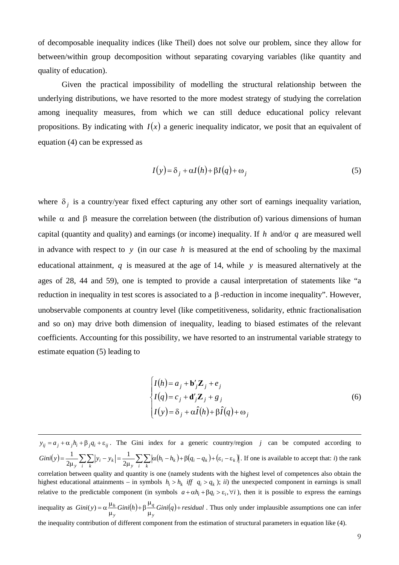of decomposable inequality indices (like Theil) does not solve our problem, since they allow for between/within group decomposition without separating covarying variables (like quantity and quality of education).

Given the practical impossibility of modelling the structural relationship between the underlying distributions, we have resorted to the more modest strategy of studying the correlation among inequality measures, from which we can still deduce educational policy relevant propositions. By indicating with  $I(x)$  a generic inequality indicator, we posit that an equivalent of equation (4) can be expressed as

$$
I(y) = \delta_j + \alpha I(h) + \beta I(q) + \omega_j
$$
\n(5)

where  $\delta_j$  is a country/year fixed effect capturing any other sort of earnings inequality variation, while  $\alpha$  and  $\beta$  measure the correlation between (the distribution of) various dimensions of human capital (quantity and quality) and earnings (or income) inequality. If *h* and/or *q* are measured well in advance with respect to *y* (in our case *h* is measured at the end of schooling by the maximal educational attainment,  $q$  is measured at the age of 14, while  $y$  is measured alternatively at the ages of 28, 44 and 59), one is tempted to provide a causal interpretation of statements like "a reduction in inequality in test scores is associated to a β-reduction in income inequality". However, unobservable components at country level (like competitiveness, solidarity, ethnic fractionalisation and so on) may drive both dimension of inequality, leading to biased estimates of the relevant coefficients. Accounting for this possibility, we have resorted to an instrumental variable strategy to estimate equation (5) leading to

$$
\begin{cases}\nI(h) = a_j + \mathbf{b}'_j \mathbf{Z}_j + e_j \\
I(q) = c_j + \mathbf{d}'_j \mathbf{Z}_j + g_j \\
I(y) = \delta_j + \alpha \hat{I}(h) + \beta \hat{I}(q) + \omega_j\n\end{cases}
$$
\n(6)

 $\overline{a}$  $y_{ij} = a_j + \alpha_j h_i + \beta_j q_i + \varepsilon_{ij}$ . The Gini index for a generic country/region *j* can be computed according to  $(y) = \frac{1}{2\mu_y} \sum_{i} \sum_{k} |y_i - y_k| = \frac{1}{2\mu_y} \sum_{i} \sum_{k} |\alpha(h_i - h_k) + \beta(q_i - q_k) + (\varepsilon_i - \varepsilon_k)|$  $i$  *k*  $j$  *k*  $j$   $\leq$   $\frac{1}{2\mu_y} \sum_{i} \sum_{k} |y_i - y_k| = \frac{1}{2\mu_y} \sum_{i} \sum_{k} |\alpha(h_i - h_k) + \beta(q_i - q_k) + (\varepsilon_i - \varepsilon_k)$  $\frac{1}{2\mu_v} \sum_i \sum_k |y_i - y_k| = \frac{1}{2\mu_v} \sum_i \sum_k |\alpha(h_i - h_k) + \beta(q_i - q_k) + (\varepsilon_i - \varepsilon_k)|$ . If one is available to accept that: *i*) the rank correlation between quality and quantity is one (namely students with the highest level of competences also obtain the highest educational attainments – in symbols  $h_i > h_k$  *iff*  $q_i > q_k$  ); *ii*) the unexpected component in earnings is small relative to the predictable component (in symbols  $a + \alpha h_i + \beta q_i > \varepsilon_i$ ,  $\forall i$ ), then it is possible to express the earnings inequality as  $Gini(y) = \alpha \frac{\mu_h}{\mu} Gini(h) + \beta \frac{\mu_q}{\mu} Gini(q) + residual$ *y q y*  $\frac{h}{\mu} Gini(h) + \beta \frac{\mu_q}{\mu_v} Gini(q) +$  $y = \alpha \frac{\mu_h}{\mu_v} Gini(h) + \beta \frac{\mu_q}{\mu_v} Gini(q) + residual$ . Thus only under implausible assumptions one can infer the inequality contribution of different component from the estimation of structural parameters in equation like (4).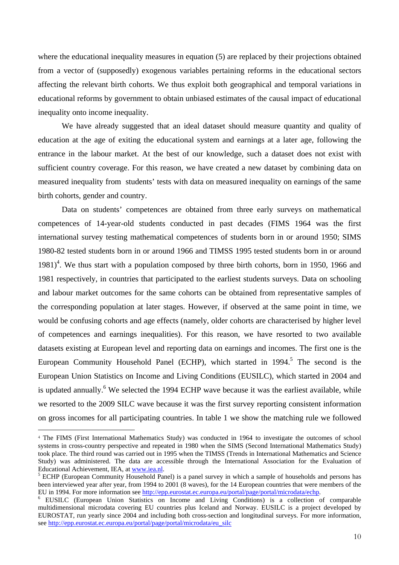where the educational inequality measures in equation (5) are replaced by their projections obtained from a vector of (supposedly) exogenous variables pertaining reforms in the educational sectors affecting the relevant birth cohorts. We thus exploit both geographical and temporal variations in educational reforms by government to obtain unbiased estimates of the causal impact of educational inequality onto income inequality.

We have already suggested that an ideal dataset should measure quantity and quality of education at the age of exiting the educational system and earnings at a later age, following the entrance in the labour market. At the best of our knowledge, such a dataset does not exist with sufficient country coverage. For this reason, we have created a new dataset by combining data on measured inequality from students' tests with data on measured inequality on earnings of the same birth cohorts, gender and country.

Data on students' competences are obtained from three early surveys on mathematical competences of 14-year-old students conducted in past decades (FIMS 1964 was the first international survey testing mathematical competences of students born in or around 1950; SIMS 1980-82 tested students born in or around 1966 and TIMSS 1995 tested students born in or around  $1981$ <sup>4</sup>. We thus start with a population composed by three birth cohorts, born in 1950, 1966 and 1981 respectively, in countries that participated to the earliest students surveys. Data on schooling and labour market outcomes for the same cohorts can be obtained from representative samples of the corresponding population at later stages. However, if observed at the same point in time, we would be confusing cohorts and age effects (namely, older cohorts are characterised by higher level of competences and earnings inequalities). For this reason, we have resorted to two available datasets existing at European level and reporting data on earnings and incomes. The first one is the European Community Household Panel (ECHP), which started in  $1994$ <sup>5</sup>. The second is the European Union Statistics on Income and Living Conditions (EUSILC), which started in 2004 and is updated annually.<sup>6</sup> We selected the 1994 ECHP wave because it was the earliest available, while we resorted to the 2009 SILC wave because it was the first survey reporting consistent information on gross incomes for all participating countries. In table 1 we show the matching rule we followed

<sup>4</sup> The FIMS (First International Mathematics Study) was conducted in 1964 to investigate the outcomes of school systems in cross-country perspective and repeated in 1980 when the SIMS (Second International Mathematics Study) took place. The third round was carried out in 1995 when the TIMSS (Trends in International Mathematics and Science Study) was administered. The data are accessible through the International Association for the Evaluation of Educational Achievement, IEA, at www.iea.nl. 5

<sup>&</sup>lt;sup>5</sup> ECHP (European Community Household Panel) is a panel survey in which a sample of households and persons has been interviewed year after year, from 1994 to 2001 (8 waves), for the 14 European countries that were members of the EU in 1994. For more information see http://epp.eurostat.ec.europa.eu/portal/page/portal/microdata/echp.

EUSILC (European Union Statistics on Income and Living Conditions) is a collection of comparable multidimensional microdata covering EU countries plus Iceland and Norway. EUSILC is a project developed by EUROSTAT, run yearly since 2004 and including both cross-section and longitudinal surveys. For more information, see http://epp.eurostat.ec.europa.eu/portal/page/portal/microdata/eu\_silc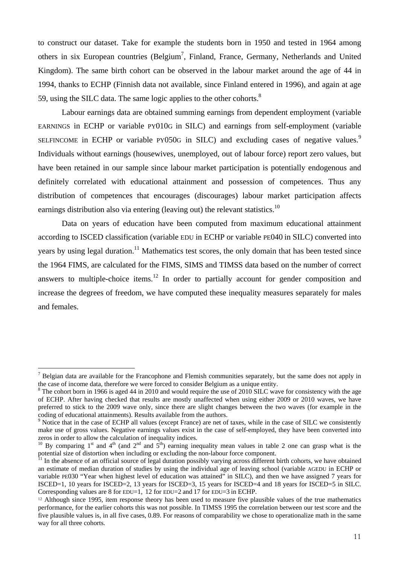to construct our dataset. Take for example the students born in 1950 and tested in 1964 among others in six European countries (Belgium<sup>7</sup>, Finland, France, Germany, Netherlands and United Kingdom). The same birth cohort can be observed in the labour market around the age of 44 in 1994, thanks to ECHP (Finnish data not available, since Finland entered in 1996), and again at age 59, using the SILC data. The same logic applies to the other cohorts.<sup>8</sup>

Labour earnings data are obtained summing earnings from dependent employment (variable EARNINGS in ECHP or variable PY010G in SILC) and earnings from self-employment (variable SELFINCOME in ECHP or variable PY050G in SILC) and excluding cases of negative values.<sup>9</sup> Individuals without earnings (housewives, unemployed, out of labour force) report zero values, but have been retained in our sample since labour market participation is potentially endogenous and definitely correlated with educational attainment and possession of competences. Thus any distribution of competences that encourages (discourages) labour market participation affects earnings distribution also via entering (leaving out) the relevant statistics.<sup>10</sup>

Data on years of education have been computed from maximum educational attainment according to ISCED classification (variable EDU in ECHP or variable PE040 in SILC) converted into years by using legal duration.<sup>11</sup> Mathematics test scores, the only domain that has been tested since the 1964 FIMS, are calculated for the FIMS, SIMS and TIMSS data based on the number of correct answers to multiple-choice items.<sup>12</sup> In order to partially account for gender composition and increase the degrees of freedom, we have computed these inequality measures separately for males and females.

 $<sup>7</sup>$  Belgian data are available for the Francophone and Flemish communities separately, but the same does not apply in</sup> the case of income data, therefore we were forced to consider Belgium as a unique entity. 8

 $8$  The cohort born in 1966 is aged 44 in 2010 and would require the use of 2010 SILC wave for consistency with the age of ECHP. After having checked that results are mostly unaffected when using either 2009 or 2010 waves, we have preferred to stick to the 2009 wave only, since there are slight changes between the two waves (for example in the coding of educational attainments). Results available from the authors.<br><sup>9</sup> Notice that in the case of ECHP all values (except France) are net of taxes, while in the case of SILC we consistently

make use of gross values. Negative earnings values exist in the case of self-employed, they have been converted into zeros in order to allow the calculation of inequality indices.

<sup>&</sup>lt;sup>10</sup> By comparing 1<sup>st</sup> and 4<sup>th</sup> (and 2<sup>nd</sup> and 5<sup>th</sup>) earning inequality mean values in table 2 one can grasp what is the potential size of distortion when including or excluding the non-labour force component.

 $11$  In the absence of an official source of legal duration possibly varying across different birth cohorts, we have obtained an estimate of median duration of studies by using the individual age of leaving school (variable AGEDU in ECHP or variable PE030 "Year when highest level of education was attained" in SILC), and then we have assigned 7 years for ISCED=1, 10 years for ISCED=2, 13 years for ISCED=3, 15 years for ISCED=4 and 18 years for ISCED=5 in SILC. Corresponding values are 8 for EDU=1, 12 for EDU=2 and 17 for EDU=3 in ECHP.

<sup>12</sup> Although since 1995, item response theory has been used to measure five plausible values of the true mathematics performance, for the earlier cohorts this was not possible. In TIMSS 1995 the correlation between our test score and the five plausible values is, in all five cases, 0.89. For reasons of comparability we chose to operationalize math in the same way for all three cohorts.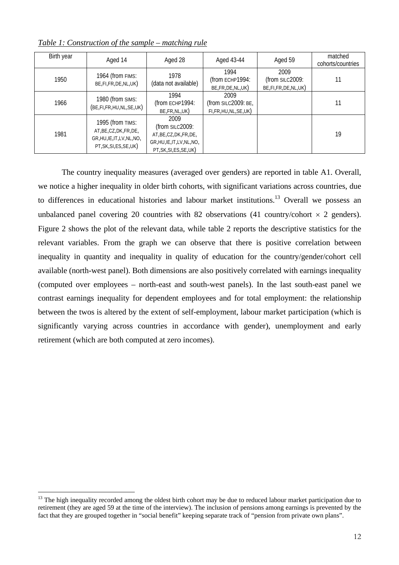| Birth year | Aged 14                                                                                               | Aged 28                                                                                                      | Aged 43-44                                            | Aged 59                                       | matched<br>cohorts/countries |
|------------|-------------------------------------------------------------------------------------------------------|--------------------------------------------------------------------------------------------------------------|-------------------------------------------------------|-----------------------------------------------|------------------------------|
| 1950       | 1964 (from FIMS:<br>BE,FI,FR,DE,NL,UK)                                                                | 1978<br>(data not available)                                                                                 | 1994<br>(from ECHP1994:<br>BE, FR, DE, NL, UK)        | 2009<br>(from SILC2009:<br>BE,FI,FR,DE,NL,UK) |                              |
| 1966       | 1980 (from SIMS:<br>(BE,FI,FR,HU,NL,SE,UK)                                                            | 1994<br>(from ECHP1994:<br>BE, FR, NL, UK)                                                                   | 2009<br>(from SILC2009: BE,<br>FI,FR, HU, NL, SE, UK) |                                               |                              |
| 1981       | 1995 (from TIMS:<br>AT, BE, CZ, DK, FR, DE,<br>GR, HU, IE, IT, LV, NL, NO,<br>PT, SK, SI, ES, SE, UK) | 2009<br>(from SILC2009:<br>AT, BE, CZ, DK, FR, DE,<br>GR, HU, IE, IT, LV, NL, NO,<br>PT, SK, SI, ES, SE, UK) |                                                       |                                               | 19                           |

*Table 1: Construction of the sample – matching rule*

The country inequality measures (averaged over genders) are reported in table A1. Overall, we notice a higher inequality in older birth cohorts, with significant variations across countries, due to differences in educational histories and labour market institutions.<sup>13</sup> Overall we possess an unbalanced panel covering 20 countries with 82 observations (41 country/cohort  $\times$  2 genders). Figure 2 shows the plot of the relevant data, while table 2 reports the descriptive statistics for the relevant variables. From the graph we can observe that there is positive correlation between inequality in quantity and inequality in quality of education for the country/gender/cohort cell available (north-west panel). Both dimensions are also positively correlated with earnings inequality (computed over employees – north-east and south-west panels). In the last south-east panel we contrast earnings inequality for dependent employees and for total employment: the relationship between the twos is altered by the extent of self-employment, labour market participation (which is significantly varying across countries in accordance with gender), unemployment and early retirement (which are both computed at zero incomes).

<sup>&</sup>lt;sup>13</sup> The high inequality recorded among the oldest birth cohort may be due to reduced labour market participation due to retirement (they are aged 59 at the time of the interview). The inclusion of pensions among earnings is prevented by the fact that they are grouped together in "social benefit" keeping separate track of "pension from private own plans".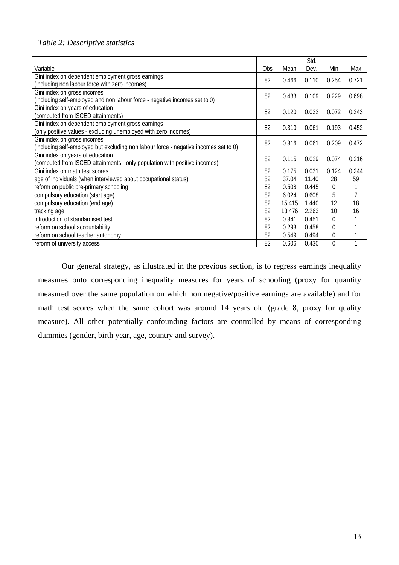#### *Table 2: Descriptive statistics*

| Variable                                                                                                  | Obs. | Mean   | Std.<br>Dev. | Min      | Max   |
|-----------------------------------------------------------------------------------------------------------|------|--------|--------------|----------|-------|
| Gini index on dependent employment gross earnings                                                         | 82   | 0.466  | 0.110        | 0.254    | 0.721 |
| (including non labour force with zero incomes)                                                            |      |        |              |          |       |
| Gini index on gross incomes<br>(including self-employed and non labour force - negative incomes set to 0) | 82   | 0.433  | 0.109        | 0.229    | 0.698 |
| Gini index on years of education                                                                          |      |        |              |          |       |
| (computed from ISCED attainments)                                                                         | 82   | 0.120  | 0.032        | 0.072    | 0.243 |
| Gini index on dependent employment gross earnings                                                         | 82   | 0.310  | 0.061        | 0.193    | 0.452 |
| (only positive values - excluding unemployed with zero incomes)                                           |      |        |              |          |       |
| Gini index on gross incomes                                                                               | 82   | 0.316  | 0.061        | 0.209    | 0.472 |
| (including self-employed but excluding non labour force - negative incomes set to 0)                      |      |        |              |          |       |
| Gini index on years of education                                                                          | 82   | 0.115  | 0.029        | 0.074    | 0.216 |
| (computed from ISCED attainments - only population with positive incomes)                                 |      |        |              |          |       |
| Gini index on math test scores                                                                            | 82   | 0.175  | 0.031        | 0.124    | 0.244 |
| age of individuals (when interviewed about occupational status)                                           | 82   | 37.04  | 11.40        | 28       | 59    |
| reform on public pre-primary schooling                                                                    | 82   | 0.508  | 0.445        | $\Omega$ | 1     |
| compulsory education (start age)                                                                          | 82   | 6.024  | 0.608        | 5        | 7     |
| compulsory education (end age)                                                                            | 82   | 15.415 | 1.440        | 12       | 18    |
| tracking age                                                                                              | 82   | 13.476 | 2.263        | 10       | 16    |
| introduction of standardised test                                                                         | 82   | 0.341  | 0.451        | $\Omega$ |       |
| reform on school accountability                                                                           | 82   | 0.293  | 0.458        | 0        | 1     |
| reform on school teacher autonomy                                                                         | 82   | 0.549  | 0.494        | $\theta$ | 1     |
| reform of university access                                                                               | 82   | 0.606  | 0.430        | 0        | 1     |

Our general strategy, as illustrated in the previous section, is to regress earnings inequality measures onto corresponding inequality measures for years of schooling (proxy for quantity measured over the same population on which non negative/positive earnings are available) and for math test scores when the same cohort was around 14 years old (grade 8, proxy for quality measure). All other potentially confounding factors are controlled by means of corresponding dummies (gender, birth year, age, country and survey).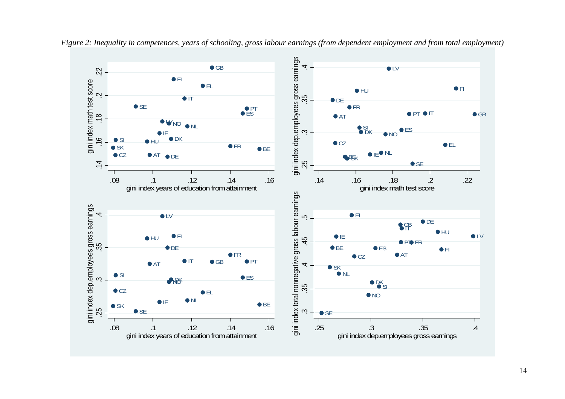

*Figure 2: Inequality in competences, years of schooling, gross labour earnings (from dependent employment and from total employment)*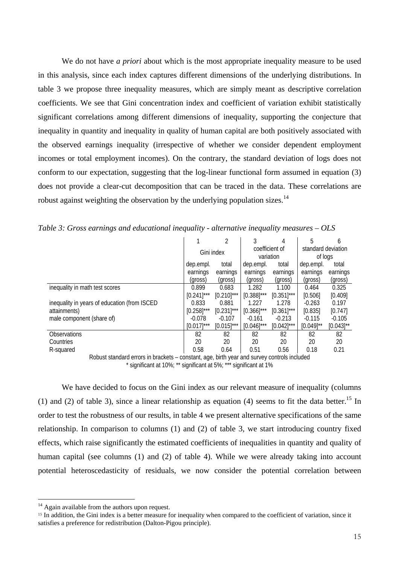We do not have *a priori* about which is the most appropriate inequality measure to be used in this analysis, since each index captures different dimensions of the underlying distributions. In table 3 we propose three inequality measures, which are simply meant as descriptive correlation coefficients. We see that Gini concentration index and coefficient of variation exhibit statistically significant correlations among different dimensions of inequality, supporting the conjecture that inequality in quantity and inequality in quality of human capital are both positively associated with the observed earnings inequality (irrespective of whether we consider dependent employment incomes or total employment incomes). On the contrary, the standard deviation of logs does not conform to our expectation, suggesting that the log-linear functional form assumed in equation (3) does not provide a clear-cut decomposition that can be traced in the data. These correlations are robust against weighting the observation by the underlying population sizes.<sup>14</sup>

|                                              |               | 2             |                             | 4             |                               | 6              |
|----------------------------------------------|---------------|---------------|-----------------------------|---------------|-------------------------------|----------------|
|                                              | Gini index    |               | coefficient of<br>variation |               | standard deviation<br>of logs |                |
|                                              | dep.empl.     | total         | dep.empl.                   | total         | dep.empl.                     | total          |
|                                              | earnings      | earnings      | earnings                    | earnings      | earnings                      | earnings       |
|                                              | (gross)       | (gross)       | (gross)                     | (gross)       | (gross)                       | (gross)        |
| inequality in math test scores               | 0.899         | 0.683         | 1.282                       | 1.100         | 0.464                         | 0.325          |
|                                              | $[0.241]$ *** | $[0.210]$ *** | $[0.388]$ ***               | $[0.351]$ *** | [0.506]                       | [0.409]        |
| inequality in years of education (from ISCED | 0.833         | 0.881         | 1.227                       | 1.278         | $-0.263$                      | 0.197          |
| attainments)                                 | $[0.258]$ *** | $[0.231]$ *** | $[0.366]$ ***               | $[0.361]$ *** | [0.835]                       | [0.747]        |
| male component (share of)                    | $-0.078$      | $-0.107$      | $-0.161$                    | $-0.213$      | $-0.115$                      | $-0.105$       |
|                                              | $[0.017]$ *** | $[0.015]$ *** | $[0.046]$ ***               | $[0.042]$ *** | $[0.049]^{**}$                | $[0.043]^{**}$ |
| <b>Observations</b>                          | 82            | 82            | 82                          | 82            | 82                            | 82             |
| Countries                                    | 20            | 20            | 20                          | 20            | 20                            | 20             |
| R-squared                                    | 0.58          | 0.64          | 0.51                        | 0.56          | 0.18                          | 0.21           |

*Table 3: Gross earnings and educational inequality - alternative inequality measures – OLS* 

Robust standard errors in brackets – constant, age, birth year and survey controls included \* significant at 10%; \*\* significant at 5%; \*\*\* significant at 1%

We have decided to focus on the Gini index as our relevant measure of inequality (columns) (1) and (2) of table 3), since a linear relationship as equation (4) seems to fit the data better.<sup>15</sup> In order to test the robustness of our results, in table 4 we present alternative specifications of the same relationship. In comparison to columns (1) and (2) of table 3, we start introducing country fixed effects, which raise significantly the estimated coefficients of inequalities in quantity and quality of human capital (see columns (1) and (2) of table 4). While we were already taking into account potential heteroscedasticity of residuals, we now consider the potential correlation between

 $14$  Again available from the authors upon request.

 $15$  In addition, the Gini index is a better measure for inequality when compared to the coefficient of variation, since it satisfies a preference for redistribution (Dalton-Pigou principle).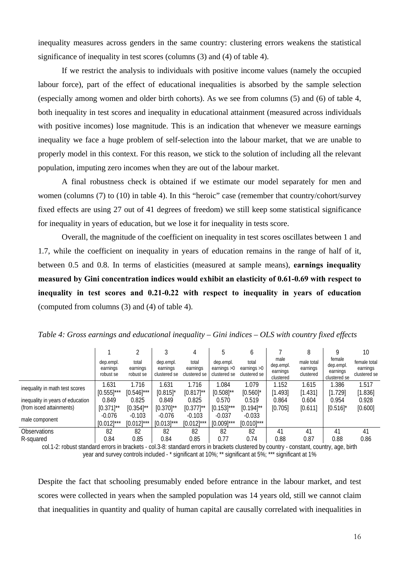inequality measures across genders in the same country: clustering errors weakens the statistical significance of inequality in test scores (columns (3) and (4) of table 4).

If we restrict the analysis to individuals with positive income values (namely the occupied labour force), part of the effect of educational inequalities is absorbed by the sample selection (especially among women and older birth cohorts). As we see from columns (5) and (6) of table 4, both inequality in test scores and inequality in educational attainment (measured across individuals with positive incomes) lose magnitude. This is an indication that whenever we measure earnings inequality we face a huge problem of self-selection into the labour market, that we are unable to properly model in this context. For this reason, we stick to the solution of including all the relevant population, imputing zero incomes when they are out of the labour market.

A final robustness check is obtained if we estimate our model separately for men and women (columns (7) to (10) in table 4). In this "heroic" case (remember that country/cohort/survey fixed effects are using 27 out of 41 degrees of freedom) we still keep some statistical significance for inequality in years of education, but we lose it for inequality in tests score.

Overall, the magnitude of the coefficient on inequality in test scores oscillates between 1 and 1.7, while the coefficient on inequality in years of education remains in the range of half of it, between 0.5 and 0.8. In terms of elasticities (measured at sample means), **earnings inequality measured by Gini concentration indices would exhibit an elasticity of 0.61-0.69 with respect to inequality in test scores and 0.21-0.22 with respect to inequality in years of education**  (computed from columns (3) and (4) of table 4).

|                                  |                                    |                                |                                       | 4                                 | 5                                          | b                                      |                                            | 8                                   | Q                                               | 10                                       |
|----------------------------------|------------------------------------|--------------------------------|---------------------------------------|-----------------------------------|--------------------------------------------|----------------------------------------|--------------------------------------------|-------------------------------------|-------------------------------------------------|------------------------------------------|
|                                  | dep.empl.<br>earnings<br>robust se | total<br>earnings<br>robust se | dep.empl.<br>earnings<br>clustered se | total<br>earnings<br>clustered se | dep.empl.<br>earnings $>0$<br>clustered se | total<br>earnings $>0$<br>clustered se | male<br>dep.empl.<br>earnings<br>clustered | male total<br>earnings<br>clustered | female<br>dep.empl.<br>earnings<br>clustered se | female total<br>earnings<br>clustered se |
| inequality in math test scores   | .631                               | 1.716                          | 1.631                                 | 1.716                             | .084                                       | 1.079                                  | 1.152                                      | 1.615                               | 1.386                                           | 1.517                                    |
|                                  | $[0.555]^{***}$                    | $[0.546]^{***}$                | $[0.815]$ *                           | $[0.817]$ **                      | $[0.508]^{**}$                             | $[0.560]$ *                            | [1.493]                                    | [1.431]                             | [1.729]                                         | [1.836]                                  |
| inequality in years of education | 0.849                              | 0.825                          | 0.849                                 | 0.825                             | 0.570                                      | 0.519                                  | 0.864                                      | 0.604                               | 0.954                                           | 0.928                                    |
| (from isced attainments)         | $[0.371]$ **                       | $[0.354]^{**}$                 | $[0.370]^{**}$                        | $[0.377]^{**}$                    | $[0.153]$ ***                              | $[0.194]^{**}$                         | [0.705]                                    | [0.611]                             | $[0.516]$ <sup>*</sup>                          | [0.600]                                  |
|                                  | $-0.076$                           | $-0.103$                       | $-0.076$                              | $-0.103$                          | $-0.037$                                   | $-0.033$                               |                                            |                                     |                                                 |                                          |
| male component                   | $[0.012]^{***}$                    | $[0.012]$ ***                  | $[0.013]^{***}$                       | $[0.012]$ ***                     | $[0.009]$ ***                              | $[0.010]$ ***                          |                                            |                                     |                                                 |                                          |
| <b>Observations</b>              | 82                                 | 82                             | 82                                    | 82                                | 82                                         | 82                                     | 41                                         | 41                                  | 41                                              | 41                                       |
| R-squared                        | 0.84                               | 0.85                           | 0.84                                  | 0.85                              | 0.77                                       | 0.74                                   | 0.88                                       | 0.87                                | 0.88                                            | 0.86                                     |

*Table 4: Gross earnings and educational inequality – Gini indices – OLS with country fixed effects* 

col.1-2: robust standard errors in brackets - col.3-8: standard errors in brackets clustered by country - constant, country, age, birth year and survey controls included - \* significant at 10%; \*\* significant at 5%; \*\*\* significant at 1%

Despite the fact that schooling presumably ended before entrance in the labour market, and test scores were collected in years when the sampled population was 14 years old, still we cannot claim that inequalities in quantity and quality of human capital are causally correlated with inequalities in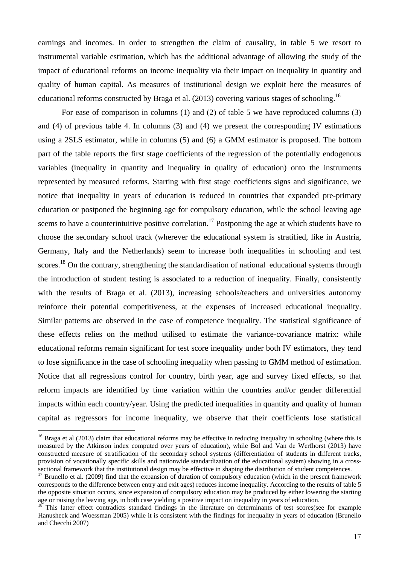earnings and incomes. In order to strengthen the claim of causality, in table 5 we resort to instrumental variable estimation, which has the additional advantage of allowing the study of the impact of educational reforms on income inequality via their impact on inequality in quantity and quality of human capital. As measures of institutional design we exploit here the measures of educational reforms constructed by Braga et al. (2013) covering various stages of schooling.<sup>16</sup>

For ease of comparison in columns (1) and (2) of table 5 we have reproduced columns (3) and (4) of previous table 4. In columns (3) and (4) we present the corresponding IV estimations using a 2SLS estimator, while in columns (5) and (6) a GMM estimator is proposed. The bottom part of the table reports the first stage coefficients of the regression of the potentially endogenous variables (inequality in quantity and inequality in quality of education) onto the instruments represented by measured reforms. Starting with first stage coefficients signs and significance, we notice that inequality in years of education is reduced in countries that expanded pre-primary education or postponed the beginning age for compulsory education, while the school leaving age seems to have a counterintuitive positive correlation.<sup>17</sup> Postponing the age at which students have to choose the secondary school track (wherever the educational system is stratified, like in Austria, Germany, Italy and the Netherlands) seem to increase both inequalities in schooling and test scores.<sup>18</sup> On the contrary, strengthening the standardisation of national educational systems through the introduction of student testing is associated to a reduction of inequality. Finally, consistently with the results of Braga et al. (2013), increasing schools/teachers and universities autonomy reinforce their potential competitiveness, at the expenses of increased educational inequality. Similar patterns are observed in the case of competence inequality. The statistical significance of these effects relies on the method utilised to estimate the variance-covariance matrix: while educational reforms remain significant for test score inequality under both IV estimators, they tend to lose significance in the case of schooling inequality when passing to GMM method of estimation. Notice that all regressions control for country, birth year, age and survey fixed effects, so that reform impacts are identified by time variation within the countries and/or gender differential impacts within each country/year. Using the predicted inequalities in quantity and quality of human capital as regressors for income inequality, we observe that their coefficients lose statistical

 $16$  Braga et al (2013) claim that educational reforms may be effective in reducing inequality in schooling (where this is measured by the Atkinson index computed over years of education), while Bol and Van de Werfhorst (2013) have constructed measure of stratification of the secondary school systems (differentiation of students in different tracks, provision of vocationally specific skills and nationwide standardization of the educational system) showing in a crosssectional framework that the institutional design may be effective in shaping the distribution of student competences.<br><sup>17</sup> Brunello et al. (2009) find that the expansion of duration of compulsory education (which in the p

corresponds to the difference between entry and exit ages) reduces income inequality. According to the results of table 5 the opposite situation occurs, since expansion of compulsory education may be produced by either lowering the starting age or raising the leaving age, in both case yielding a positive impact on inequality in years of education.

 $18$  This latter effect contradicts standard findings in the literature on determinants of test scores(see for example Hanusheck and Woessman 2005) while it is consistent with the findings for inequality in years of education (Brunello and Checchi 2007)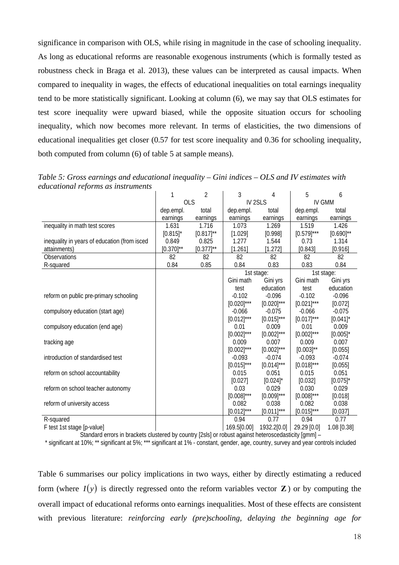significance in comparison with OLS, while rising in magnitude in the case of schooling inequality. As long as educational reforms are reasonable exogenous instruments (which is formally tested as robustness check in Braga et al. 2013), these values can be interpreted as causal impacts. When compared to inequality in wages, the effects of educational inequalities on total earnings inequality tend to be more statistically significant. Looking at column (6), we may say that OLS estimates for test score inequality were upward biased, while the opposite situation occurs for schooling inequality, which now becomes more relevant. In terms of elasticities, the two dimensions of educational inequalities get closer (0.57 for test score inequality and 0.36 for schooling inequality, both computed from column (6) of table 5 at sample means).

|                                              | 1              | $\overline{2}$ | 3               | 4                  | 5               | 6              |
|----------------------------------------------|----------------|----------------|-----------------|--------------------|-----------------|----------------|
|                                              | <b>OLS</b>     |                |                 | IV <sub>2SLS</sub> | <b>IV GMM</b>   |                |
|                                              | dep.empl.      | total          | dep.empl.       | total              | dep.empl.       | total          |
|                                              | earnings       | earnings       | earnings        | earnings           | earnings        | earnings       |
| inequality in math test scores               | 1.631          | 1.716          | 1.073           | 1.269              | 1.519           | 1.426          |
|                                              | $[0.815]$ *    | $[0.817]^{**}$ | [1.029]         | [0.998]            | $[0.579]^{***}$ | $[0.690]^{**}$ |
| inequality in years of education (from isced | 0.849          | 0.825          | 1.277           | 1.544              | 0.73            | 1.314          |
| attainments)                                 | $[0.370]^{**}$ | $[0.377]^{**}$ | [1.261]         | [1.272]            | [0.843]         | [0.916]        |
| Observations                                 | 82             | 82             | 82              | 82                 | 82              | 82             |
| R-squared                                    | 0.84           | 0.85           | 0.84            | 0.83               | 0.83            | 0.84           |
|                                              |                |                |                 | 1st stage:         |                 | 1st stage:     |
|                                              |                |                | Gini math       | Gini yrs           | Gini math       | Gini yrs       |
|                                              |                |                | test            | education          | test            | education      |
| reform on public pre-primary schooling       |                |                | $-0.102$        | $-0.096$           | $-0.102$        | $-0.096$       |
|                                              |                |                | $[0.020]^{***}$ | $[0.020]$ ***      | $[0.021]$ ***   | [0.072]        |
| compulsory education (start age)             |                |                | $-0.066$        | $-0.075$           | $-0.066$        | $-0.075$       |
|                                              |                |                | $[0.012]^{***}$ | $[0.015]^{***}$    | $[0.017]^{***}$ | $[0.041]$ *    |
| compulsory education (end age)               |                |                | 0.01            | 0.009              | 0.01            | 0.009          |
|                                              |                |                | $[0.002]^{***}$ | $[0.002]^{***}$    | $[0.002]^{***}$ | $[0.005]$ *    |
| tracking age                                 |                |                | 0.009           | 0.007              | 0.009           | 0.007          |
|                                              |                |                | $[0.002]^{***}$ | $[0.002]$ ***      | $[0.003]^{**}$  | [0.055]        |
| introduction of standardised test            |                |                | $-0.093$        | $-0.074$           | $-0.093$        | $-0.074$       |
|                                              |                |                | $[0.015]^{***}$ | $[0.014]$ ***      | $[0.018]^{***}$ | [0.055]        |
| reform on school accountability              |                |                | 0.015           | 0.051              | 0.015           | 0.051          |
|                                              |                |                | [0.027]         | $[0.024]$ *        | [0.032]         | $[0.075]$ *    |
| reform on school teacher autonomy            |                |                | 0.03            | 0.029              | 0.030           | 0.029          |
|                                              |                |                | $[0.008]^{***}$ | $[0.009]$ ***      | $[0.008]^{***}$ | [0.018]        |
| reform of university access                  |                |                | 0.082           | 0.038              | 0.082           | 0.038          |
|                                              |                |                | $[0.012]^{***}$ | $[0.011]$ ***      | $[0.015]^{***}$ | [0.037]        |
| R-squared                                    |                |                | 0.94            | 0.77               | 0.94            | 0.77           |
| F test 1st stage [p-value]                   |                |                | 169.5[0.00]     | 1932.2[0.0]        | 29.29 [0.0]     | 1.08 [0.38]    |

*Table 5: Gross earnings and educational inequality – Gini indices – OLS and IV estimates with educational reforms as instruments* 

Standard errors in brackets clustered by country [2sls] or robust against heteroscedasticity [gmm] – \* significant at 10%; \*\* significant at 5%; \*\*\* significant at 1% - constant, gender, age, country, survey and year controls included

Table 6 summarises our policy implications in two ways, either by directly estimating a reduced form (where  $I(y)$  is directly regressed onto the reform variables vector **Z**) or by computing the overall impact of educational reforms onto earnings inequalities. Most of these effects are consistent with previous literature: *reinforcing early (pre)schooling, delaying the beginning age for*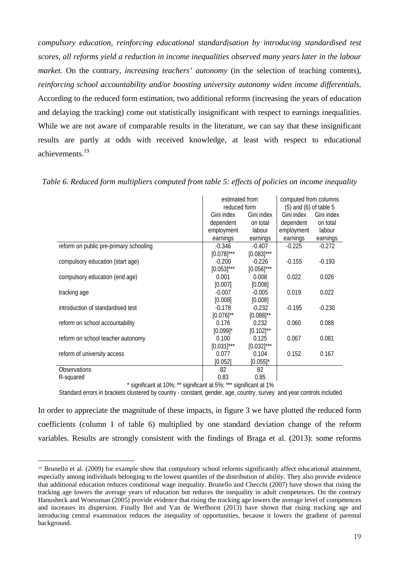*compulsory education, reinforcing educational standardisation by introducing standardised test scores, all reforms yield a reduction in income inequalities observed many years later in the labour market.* On the contrary, *increasing teachers' autonomy* (in the selection of teaching contents), *reinforcing school accountability and/or boosting university autonomy widen income differentials*. According to the reduced form estimation, two additional reforms (increasing the years of education and delaying the tracking) come out statistically insignificant with respect to earnings inequalities. While we are not aware of comparable results in the literature, we can say that these insignificant results are partly at odds with received knowledge, at least with respect to educational achievements.19

|                                        | estimated from<br>reduced form |                | computed from columns<br>$(5)$ and $(6)$ of table 5 |            |
|----------------------------------------|--------------------------------|----------------|-----------------------------------------------------|------------|
|                                        | Gini index                     | Gini index     | Gini index                                          | Gini index |
|                                        | dependent                      | on total       | dependent                                           | on total   |
|                                        | employment                     | labour         | employment                                          | labour     |
|                                        | earnings                       | earnings       | earnings                                            | earnings   |
| reform on public pre-primary schooling | $-0.346$                       | $-0.407$       | $-0.225$                                            | $-0.272$   |
|                                        | $[0.078]^{***}$                | $[0.083]$ ***  |                                                     |            |
| compulsory education (start age)       | $-0.200$                       | $-0.226$       | $-0.155$                                            | $-0.193$   |
|                                        | $[0.053]$ ***                  | $[0.056]$ ***  |                                                     |            |
| compulsory education (end age)         | 0.001                          | 0.008          | 0.022                                               | 0.026      |
|                                        | [0.007]                        | [0.008]        |                                                     |            |
| tracking age                           | $-0.007$                       | $-0.005$       | 0.019                                               | 0.022      |
|                                        | [0.008]                        | [0.008]        |                                                     |            |
| introduction of standardised test      | $-0.178$                       | $-0.232$       | $-0.195$                                            | $-0.230$   |
|                                        | $[0.076]^{**}$                 | $[0.088]$ **   |                                                     |            |
| reform on school accountability        | 0.176                          | 0.232          | 0.060                                               | 0.088      |
|                                        | $[0.099]$ *                    | $[0.102]^{**}$ |                                                     |            |
| reform on school teacher autonomy      | 0.100                          | 0.125          | 0.067                                               | 0.081      |
|                                        | $[0.031]$ ***                  | $[0.032]$ ***  |                                                     |            |
| reform of university access            | 0.077                          | 0.104          | 0.152                                               | 0.167      |
|                                        | [0.052]                        | $[0.055]$ *    |                                                     |            |
| Observations                           | 82                             | 82             |                                                     |            |
| R-squared                              | 0.83                           | 0.85           |                                                     |            |

*Table 6. Reduced form multipliers computed from table 5: effects of policies on income inequality* 

\* significant at 10%; \*\* significant at 5%; \*\*\* significant at 1%

 $\overline{a}$ 

Standard errors in brackets clustered by country - constant, gender, age, country, survey and year controls included

In order to appreciate the magnitude of these impacts, in figure 3 we have plotted the reduced form coefficients (column 1 of table 6) multiplied by one standard deviation change of the reform variables. Results are strongly consistent with the findings of Braga et al. (2013): some reforms

<sup>19</sup> Brunello et al. (2009) for example show that compulsory school reforms significantly affect educational attainment, especially among individuals belonging to the lowest quantiles of the distribution of ability. They also provide evidence that additional education reduces conditional wage inequality. Brunello and Checchi (2007) have shown that rising the tracking age lowers the average years of education but reduces the inequality in adult competences. On the contrary Hanusheck and Woessman (2005) provide evidence that rising the tracking age lowers the average level of competences and increases its dispersion. Finally Bol and Van de Werfhorst (2013) have shown that rising tracking age and introducing central examination reduces the inequality of opportunities, because it lowers the gradient of parental background.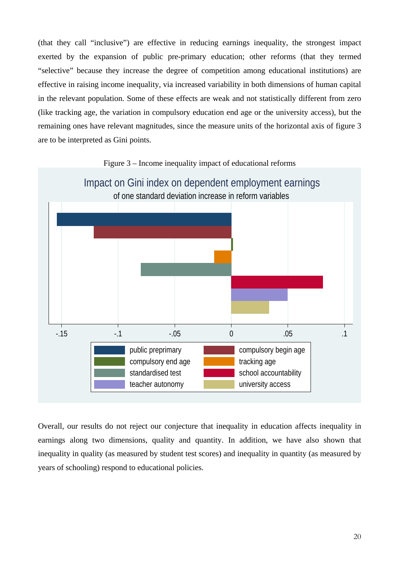(that they call "inclusive") are effective in reducing earnings inequality, the strongest impact exerted by the expansion of public pre-primary education; other reforms (that they termed "selective" because they increase the degree of competition among educational institutions) are effective in raising income inequality, via increased variability in both dimensions of human capital in the relevant population. Some of these effects are weak and not statistically different from zero (like tracking age, the variation in compulsory education end age or the university access), but the remaining ones have relevant magnitudes, since the measure units of the horizontal axis of figure 3 are to be interpreted as Gini points.



Figure 3 – Income inequality impact of educational reforms

Overall, our results do not reject our conjecture that inequality in education affects inequality in earnings along two dimensions, quality and quantity. In addition, we have also shown that inequality in quality (as measured by student test scores) and inequality in quantity (as measured by years of schooling) respond to educational policies.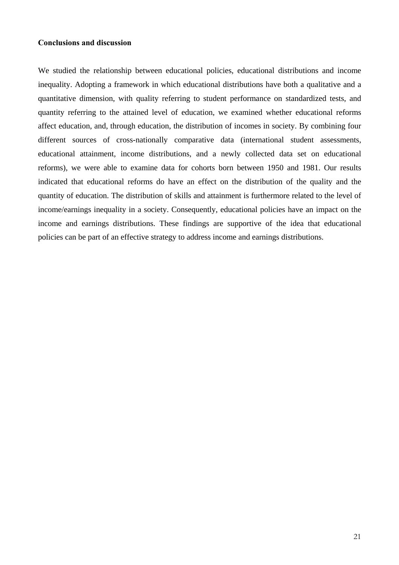#### **Conclusions and discussion**

We studied the relationship between educational policies, educational distributions and income inequality. Adopting a framework in which educational distributions have both a qualitative and a quantitative dimension, with quality referring to student performance on standardized tests, and quantity referring to the attained level of education, we examined whether educational reforms affect education, and, through education, the distribution of incomes in society. By combining four different sources of cross-nationally comparative data (international student assessments, educational attainment, income distributions, and a newly collected data set on educational reforms), we were able to examine data for cohorts born between 1950 and 1981. Our results indicated that educational reforms do have an effect on the distribution of the quality and the quantity of education. The distribution of skills and attainment is furthermore related to the level of income/earnings inequality in a society. Consequently, educational policies have an impact on the income and earnings distributions. These findings are supportive of the idea that educational policies can be part of an effective strategy to address income and earnings distributions.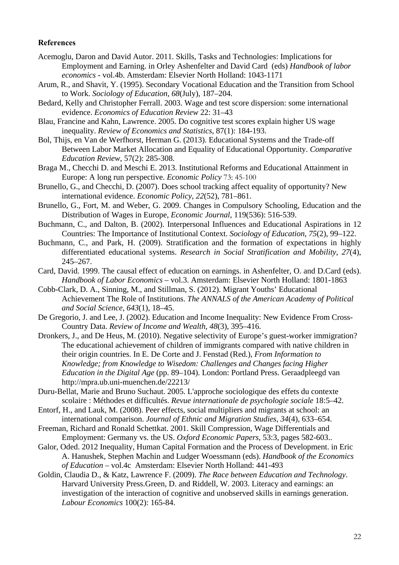#### **References**

- Acemoglu, Daron and David Autor. 2011. Skills, Tasks and Technologies: Implications for Employment and Earning. in Orley Ashenfelter and David Card(eds) *Handbook of labor economics -* vol.4b. Amsterdam: Elsevier North Holland: 1043-1171
- Arum, R., and Shavit, Y. (1995). Secondary Vocational Education and the Transition from School to Work. *Sociology of Education*, *68*(July), 187–204.
- Bedard, Kelly and Christopher Ferrall. 2003. Wage and test score dispersion: some international evidence. *Economics of Education Review* 22: 31–43
- Blau, Francine and Kahn, Lawrence. 2005. Do cognitive test scores explain higher US wage inequality. *Review of Economics and Statistics*, 87(1): 184-193.
- Bol, Thijs, en Van de Werfhorst, Herman G. (2013). Educational Systems and the Trade-off Between Labor Market Allocation and Equality of Educational Opportunity. *Comparative Education Review*, 57(2): 285-308.
- Braga M., Checchi D. and Meschi E. 2013. Institutional Reforms and Educational Attainment in Europe: A long run perspective. *Economic Policy* 73: 45-100
- Brunello, G., and Checchi, D. (2007). Does school tracking affect equality of opportunity? New international evidence. *Economic Policy*, *22*(52), 781–861.
- Brunello, G., Fort, M. and Weber, G. 2009. Changes in Compulsory Schooling, Education and the Distribution of Wages in Europe, *Economic Journal*, 119(536): 516-539.
- Buchmann, C., and Dalton, B. (2002). Interpersonal Influences and Educational Aspirations in 12 Countries: The Importance of Institutional Context. *Sociology of Education*, *75*(2), 99–122.
- Buchmann, C., and Park, H. (2009). Stratification and the formation of expectations in highly differentiated educational systems. *Research in Social Stratification and Mobility*, *27*(4), 245–267.
- Card, David. 1999. The causal effect of education on earnings. in Ashenfelter, O. and D.Card (eds). *Handbook of Labor Economics* – vol.3. Amsterdam: Elsevier North Holland: 1801-1863
- Cobb-Clark, D. A., Sinning, M., and Stillman, S. (2012). Migrant Youths' Educational Achievement The Role of Institutions. *The ANNALS of the American Academy of Political and Social Science*, *643*(1), 18–45.
- De Gregorio, J. and Lee, J. (2002). Education and Income Inequality: New Evidence From Cross-Country Data. *Review of Income and Wealth*, *48*(3), 395–416.
- Dronkers, J., and De Heus, M. (2010). Negative selectivity of Europe's guest-worker immigration? The educational achievement of children of immigrants compared with native children in their origin countries. In E. De Corte and J. Fenstad (Red.), *From Information to Knowledge; from Knowledge to Wisedom: Challenges and Changes facing Higher Education in the Digital Age* (pp. 89–104). London: Portland Press. Geraadpleegd van http://mpra.ub.uni-muenchen.de/22213/
- Duru-Bellat, Marie and Bruno Suchaut. 2005. L'approche sociologique des effets du contexte scolaire : Méthodes et difficultés. *Revue internationale de psychologie sociale* 18:5–42.
- Entorf, H., and Lauk, M. (2008). Peer effects, social multipliers and migrants at school: an international comparison. *Journal of Ethnic and Migration Studies*, *34*(4), 633–654.
- Freeman, Richard and Ronald Schettkat. 2001. Skill Compression, Wage Differentials and Employment: Germany vs. the US. *Oxford Economic Papers*, 53:3, pages 582-603..
- Galor, Oded. 2012 Inequality, Human Capital Formation and the Process of Development. in Eric A. Hanushek, Stephen Machin and Ludger Woessmann (eds). *Handbook of the Economics of Education* – vol.4c Amsterdam: Elsevier North Holland: 441-493
- Goldin, Claudia D., & Katz, Lawrence F. (2009). *The Race between Education and Technology*. Harvard University Press.Green, D. and Riddell, W. 2003. Literacy and earnings: an investigation of the interaction of cognitive and unobserved skills in earnings generation. *Labour Economics* 100(2): 165-84.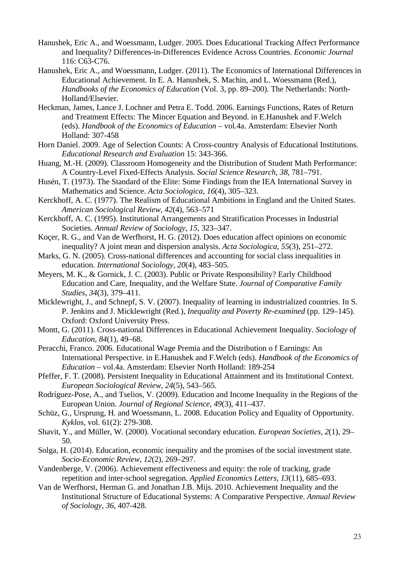- Hanushek, Eric A., and Woessmann, Ludger. 2005. Does Educational Tracking Affect Performance and Inequality? Differences-in-Differences Evidence Across Countries. *Economic Journal* 116: C63-C76.
- Hanushek, Eric A., and Woessmann, Ludger. (2011). The Economics of International Differences in Educational Achievement. In E. A. Hanushek, S. Machin, and L. Woessmann (Red.), *Handbooks of the Economics of Education* (Vol. 3, pp. 89–200). The Netherlands: North-Holland/Elsevier.
- Heckman, James, Lance J. Lochner and Petra E. Todd. 2006. Earnings Functions, Rates of Return and Treatment Effects: The Mincer Equation and Beyond. in E.Hanushek and F.Welch (eds). *Handbook of the Economics of Education* – vol.4a. Amsterdam: Elsevier North Holland: 307-458
- Horn Daniel. 2009. Age of Selection Counts: A Cross-country Analysis of Educational Institutions. *Educational Research and Evaluation* 15: 343-366.
- Huang, M.-H. (2009). Classroom Homogeneity and the Distribution of Student Math Performance: A Country-Level Fixed-Effects Analysis. *Social Science Research*, *38*, 781–791.
- Husén, T. (1973). The Standard of the Elite: Some Findings from the IEA International Survey in Mathematics and Science. *Acta Sociologica*, *16*(4), 305–323.
- Kerckhoff, A. C. (1977). The Realism of Educational Ambitions in England and the United States. *American Sociological Review*, *42*(4), 563–571
- Kerckhoff, A. C. (1995). Institutional Arrangements and Stratification Processes in Industrial Societies. *Annual Review of Sociology*, *15*, 323–347.
- Koçer, R. G., and Van de Werfhorst, H. G. (2012). Does education affect opinions on economic inequality? A joint mean and dispersion analysis. *Acta Sociologica*, *55*(3), 251–272.
- Marks, G. N. (2005). Cross-national differences and accounting for social class inequalities in education. *International Sociology*, *20*(4), 483–505.
- Meyers, M. K., & Gornick, J. C. (2003). Public or Private Responsibility? Early Childhood Education and Care, Inequality, and the Welfare State. *Journal of Comparative Family Studies*, *34*(3), 379–411.
- Micklewright, J., and Schnepf, S. V. (2007). Inequality of learning in industrialized countries. In S. P. Jenkins and J. Micklewright (Red.), *Inequality and Poverty Re-examined* (pp. 129–145). Oxford: Oxford University Press.
- Montt, G. (2011). Cross-national Differences in Educational Achievement Inequality. *Sociology of Education*, *84*(1), 49–68.
- Peracchi, Franco. 2006. Educational Wage Premia and the Distribution o f Earnings: An International Perspective. in E.Hanushek and F.Welch (eds). *Handbook of the Economics of Education* – vol.4a. Amsterdam: Elsevier North Holland: 189-254
- Pfeffer, F. T. (2008). Persistent Inequality in Educational Attainment and its Institutional Context. *European Sociological Review*, *24*(5), 543–565.
- Rodríguez-Pose, A., and Tselios, V. (2009). Education and Income Inequality in the Regions of the European Union. *Journal of Regional Science*, *49*(3), 411–437.
- Schüz, G., Ursprung, H. and Woessmann, L. 2008. Education Policy and Equality of Opportunity. *Kyklos*, vol. 61(2): 279-308.
- Shavit, Y., and Müller, W. (2000). Vocational secondary education. *European Societies*, *2*(1), 29– 50.
- Solga, H. (2014). Education, economic inequality and the promises of the social investment state. *Socio-Economic Review*, *12*(2), 269–297.
- Vandenberge, V. (2006). Achievement effectiveness and equity: the role of tracking, grade repetition and inter-school segregation. *Applied Economics Letters*, *13*(11), 685–693.
- Van de Werfhorst, Herman G. and Jonathan J.B. Mijs. 2010. Achievement Inequality and the Institutional Structure of Educational Systems: A Comparative Perspective. *Annual Review of Sociology, 36*, 407-428.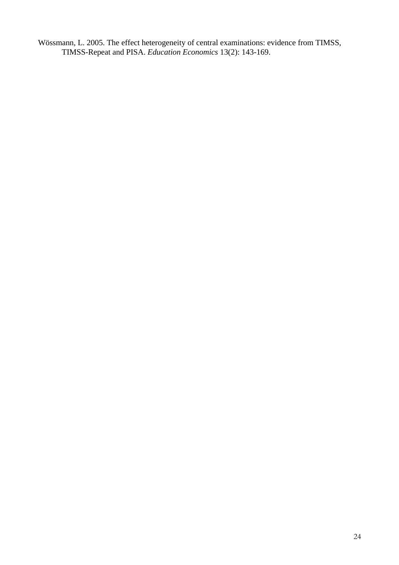Wössmann, L. 2005. The effect heterogeneity of central examinations: evidence from TIMSS, TIMSS-Repeat and PISA. *Education Economics* 13(2): 143-169.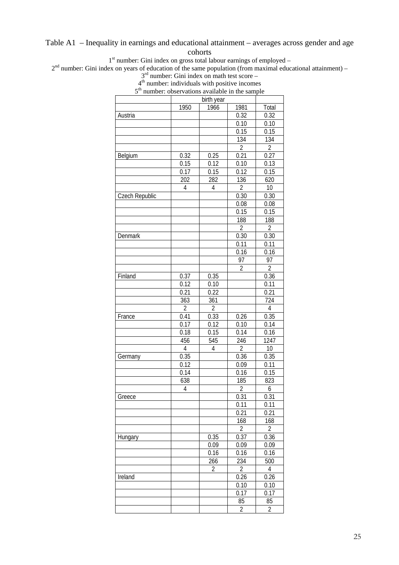Table A1 – Inequality in earnings and educational attainment – averages across gender and age

### cohorts

 $1<sup>st</sup>$  number: Gini index on gross total labour earnings of employed –

 $2<sup>nd</sup>$  number: Gini index on years of education of the same population (from maximal educational attainment) –

 $3<sup>rd</sup>$  number: Gini index on math test score –

|      |  | $4th$ number: individuals with positive incomes |  |
|------|--|-------------------------------------------------|--|
| – rh |  |                                                 |  |

| 5 <sup>th</sup> number: observations available in the sample | number. marviduals with positive incomes |                |                |                  |
|--------------------------------------------------------------|------------------------------------------|----------------|----------------|------------------|
|                                                              |                                          | birth year     |                |                  |
|                                                              | 1950                                     | 1966           | 1981           | Total            |
| Austria                                                      |                                          |                | 0.32           | 0.32             |
|                                                              |                                          |                | 0.10           | 0.10             |
|                                                              |                                          |                | 0.15           | 0.15             |
|                                                              |                                          |                | 134            | 134              |
|                                                              |                                          |                | $\overline{2}$ | $\overline{2}$   |
| Belgium                                                      | 0.32                                     | 0.25           | 0.21           | 0.27             |
|                                                              | 0.15                                     | 0.12           | 0.10           | 0.13             |
|                                                              | 0.17                                     | 0.15           | 0.12           | 0.15             |
|                                                              | 202                                      | 282            | 136            | 620              |
|                                                              | 4                                        | $\overline{4}$ | $\overline{2}$ | 10               |
| Czech Republic                                               |                                          |                | 0.30           | 0.30             |
|                                                              |                                          |                | 0.08           | 0.08             |
|                                                              |                                          |                | 0.15           | 0.15             |
|                                                              |                                          |                | 188            | 188              |
|                                                              |                                          |                | $\sqrt{2}$     | $\overline{2}$   |
| Denmark                                                      |                                          |                | 0.30           | 0.30             |
|                                                              |                                          |                | 0.11           | 0.11             |
|                                                              |                                          |                | 0.16           | 0.16             |
|                                                              |                                          |                | 97             | 97               |
|                                                              |                                          |                | $\overline{2}$ | $\overline{2}$   |
| Finland                                                      | 0.37                                     | 0.35           |                | 0.36             |
|                                                              | 0.12                                     | 0.10           |                | 0.11             |
|                                                              | 0.21                                     | 0.22           |                | 0.21             |
|                                                              | 363                                      | 361            |                | 724              |
|                                                              | $\overline{2}$                           | $\overline{2}$ |                | $\overline{4}$   |
| France                                                       | 0.41                                     | 0.33           | 0.26           | 0.35             |
|                                                              | 0.17                                     | 0.12           | 0.10           | 0.14             |
|                                                              | 0.18                                     | 0.15           |                |                  |
|                                                              |                                          |                | 0.14           | 0.16             |
|                                                              | 456<br>$\overline{4}$                    | 545            | 246            | 1247             |
|                                                              |                                          | $\overline{4}$ | $\overline{2}$ | 10               |
| Germany                                                      | 0.35                                     |                | 0.36           | 0.35             |
|                                                              | 0.12                                     |                | 0.09           | 0.11             |
|                                                              | 0.14                                     |                | 0.16           | 0.15             |
|                                                              | 638                                      |                | 185            | 823              |
|                                                              | 4                                        |                | $\overline{2}$ | $\boldsymbol{6}$ |
| Greece                                                       |                                          |                | 0.31           | 0.31             |
|                                                              |                                          |                | 0.11           | 0.11             |
|                                                              |                                          |                | 0.21           | 0.21             |
|                                                              |                                          |                | 168            | 168              |
|                                                              |                                          |                | $\sqrt{2}$     | $\overline{2}$   |
| Hungary                                                      |                                          | 0.35           | 0.37           | 0.36             |
|                                                              |                                          | 0.09           | 0.09           | 0.09             |
|                                                              |                                          | 0.16           | 0.16           | 0.16             |
|                                                              |                                          | 266            | 234            | 500              |
|                                                              |                                          | $\overline{2}$ | $\overline{2}$ | $\overline{4}$   |
| Ireland                                                      |                                          |                | 0.26           | 0.26             |
|                                                              |                                          |                | 0.10           | 0.10             |
|                                                              |                                          |                | 0.17           | 0.17             |
|                                                              |                                          |                | 85             | 85               |

2 2